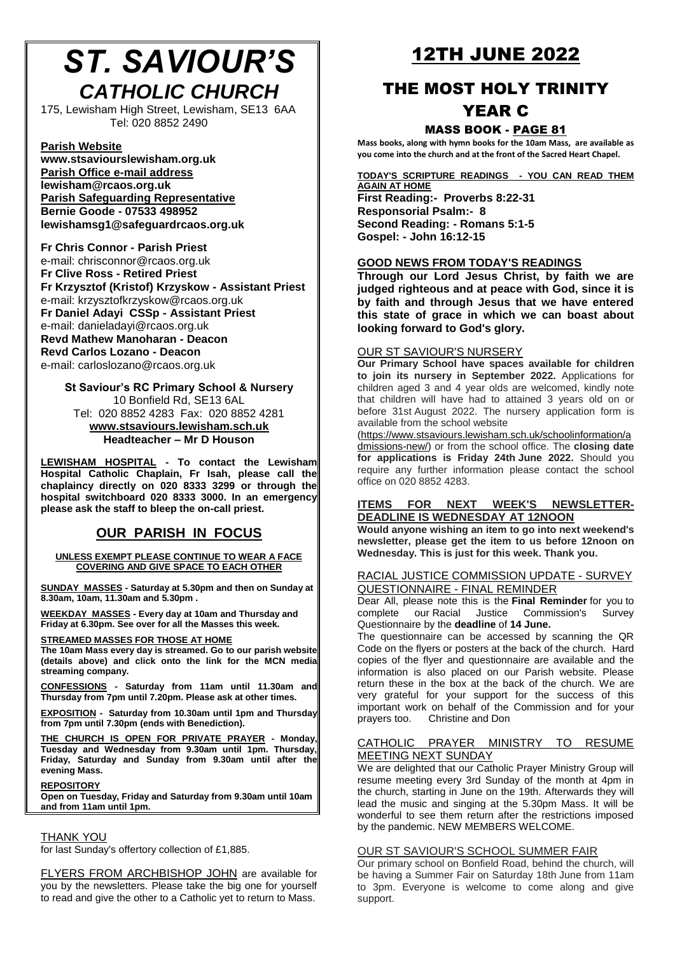# *ST. SAVIOUR'S CATHOLIC CHURCH*

175, Lewisham High Street, Lewisham, SE13 6AA Tel: 020 8852 2490

## **Parish Website**

**[www.stsaviourslewisham.org.](http://www.stsaviourslewisham.org/)uk Parish Office e-mail address lewisham@rcaos.org.uk Parish Safeguarding Representative Bernie Goode - 07533 498952 lewishamsg1@safeguardrcaos.org.uk**

**Fr Chris Connor - Parish Priest** e-mail: chrisconnor@rcaos.org.uk **Fr Clive Ross - Retired Priest Fr Krzysztof (Kristof) Krzyskow - Assistant Priest** e-mail: krzysztofkrzyskow@rcaos.org.uk **Fr Daniel Adayi CSSp - Assistant Priest** e-mail: danieladayi@rcaos.org.uk **Revd Mathew Manoharan - Deacon Revd Carlos Lozano - Deacon** e-mail: carloslozano@rcaos.org.uk

**St Saviour's RC Primary School & Nursery** 10 Bonfield Rd, SE13 6AL Tel: 020 8852 4283 Fax: 020 8852 4281 **[www.stsaviours.lewisham.sch.uk](http://www.stsaviours.lewisham.sch.uk/) Headteacher – Mr D Houson** 

**LEWISHAM HOSPITAL - To contact the Lewisham Hospital Catholic Chaplain, Fr Isah, please call the chaplaincy directly on 020 8333 3299 or through the hospital switchboard 020 8333 3000. In an emergency please ask the staff to bleep the on-call priest.** 

# **OUR PARISH IN FOCUS**

**UNLESS EXEMPT PLEASE CONTINUE TO WEAR A FACE COVERING AND GIVE SPACE TO EACH OTHER**

**SUNDAY MASSES - Saturday at 5.30pm and then on Sunday at 8.30am, 10am, 11.30am and 5.30pm .**

**WEEKDAY MASSES - Every day at 10am and Thursday and Friday at 6.30pm. See over for all the Masses this week.**

## **STREAMED MASSES FOR THOSE AT HOME**

**The 10am Mass every day is streamed. Go to our parish website (details above) and click onto the link for the MCN media streaming company.**

**CONFESSIONS - Saturday from 11am until 11.30am and Thursday from 7pm until 7.20pm. Please ask at other times.**

**EXPOSITION - Saturday from 10.30am until 1pm and Thursday from 7pm until 7.30pm (ends with Benediction).**

**THE CHURCH IS OPEN FOR PRIVATE PRAYER - Monday, Tuesday and Wednesday from 9.30am until 1pm. Thursday, Friday, Saturday and Sunday from 9.30am until after the evening Mass.**

## **REPOSITORY**

**Open on Tuesday, Friday and Saturday from 9.30am until 10am and from 11am until 1pm.**

# THANK YOU

for last Sunday's offertory collection of £1,885.

FLYERS FROM ARCHBISHOP JOHN are available for you by the newsletters. Please take the big one for yourself to read and give the other to a Catholic yet to return to Mass.

# 12TH JUNE 2022

# THE MOST HOLY TRINITY YEAR C

# MASS BOOK - PAGE 81

**Mass books, along with hymn books for the 10am Mass, are available as you come into the church and at the front of the Sacred Heart Chapel.**

# **TODAY'S SCRIPTURE READINGS - YOU CAN READ THEM**

**AGAIN AT HOME First Reading:- Proverbs 8:22-31 Responsorial Psalm:- 8 Second Reading: - Romans 5:1-5 Gospel: - John 16:12-15**

# **GOOD NEWS FROM TODAY'S READINGS**

**Through our Lord Jesus Christ, by faith we are judged righteous and at peace with God, since it is by faith and through Jesus that we have entered this state of grace in which we can boast about looking forward to God's glory.**

# OUR ST SAVIOUR'S NURSERY

**Our Primary School have spaces available for children to join its nursery in September 2022.** Applications for children aged 3 and 4 year olds are welcomed, kindly note that children will have had to attained 3 years old on or before 31st August 2022. The nursery application form is available from the school website

[\(https://www.stsaviours.lewisham.sch.uk/schoolinformation/a](https://www.stsaviours.lewisham.sch.uk/schoolinformation/admissions-new/) [dmissions-new/\)](https://www.stsaviours.lewisham.sch.uk/schoolinformation/admissions-new/) or from the school office. The **closing date for applications is Friday 24th June 2022.** Should you require any further information please contact the school office on 020 8852 4283.

## **ITEMS FOR NEXT WEEK'S NEWSLETTER-DEADLINE IS WEDNESDAY AT 12NOON**

**Would anyone wishing an item to go into next weekend's newsletter, please get the item to us before 12noon on Wednesday. This is just for this week. Thank you.**

## RACIAL JUSTICE COMMISSION UPDATE - SURVEY QUESTIONNAIRE - FINAL REMINDER

Dear All, please note this is the **Final Reminder** for you to complete our Racial Justice Commission's Survey Questionnaire by the **deadline** of **14 June.**

The questionnaire can be accessed by scanning the QR Code on the flyers or posters at the back of the church. Hard copies of the flyer and questionnaire are available and the information is also placed on our Parish website. Please return these in the box at the back of the church. We are very grateful for your support for the success of this important work on behalf of the Commission and for your prayers too. Christine and Don

## CATHOLIC PRAYER MINISTRY TO RESUME MEETING NEXT SUNDAY

We are delighted that our Catholic Prayer Ministry Group will resume meeting every 3rd Sunday of the month at 4pm in the church, starting in June on the 19th. Afterwards they will lead the music and singing at the 5.30pm Mass. It will be wonderful to see them return after the restrictions imposed by the pandemic. NEW MEMBERS WELCOME.

# OUR ST SAVIOUR'S SCHOOL SUMMER FAIR

Our primary school on Bonfield Road, behind the church, will be having a Summer Fair on Saturday 18th June from 11am to 3pm. Everyone is welcome to come along and give support.